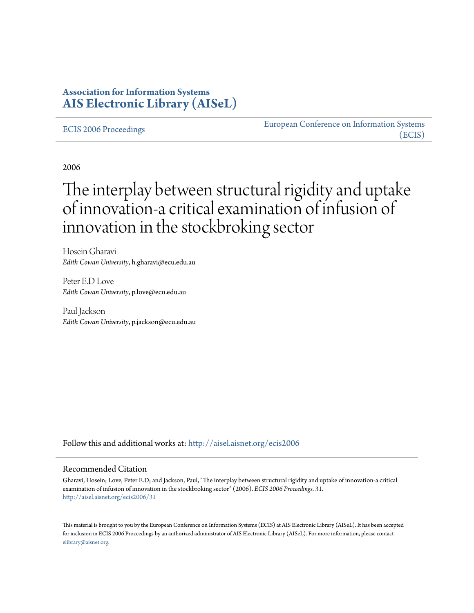## **Association for Information Systems [AIS Electronic Library \(AISeL\)](http://aisel.aisnet.org?utm_source=aisel.aisnet.org%2Fecis2006%2F31&utm_medium=PDF&utm_campaign=PDFCoverPages)**

[ECIS 2006 Proceedings](http://aisel.aisnet.org/ecis2006?utm_source=aisel.aisnet.org%2Fecis2006%2F31&utm_medium=PDF&utm_campaign=PDFCoverPages)

[European Conference on Information Systems](http://aisel.aisnet.org/ecis?utm_source=aisel.aisnet.org%2Fecis2006%2F31&utm_medium=PDF&utm_campaign=PDFCoverPages) [\(ECIS\)](http://aisel.aisnet.org/ecis?utm_source=aisel.aisnet.org%2Fecis2006%2F31&utm_medium=PDF&utm_campaign=PDFCoverPages)

2006

# The interplay between structural rigidity and uptake of innovation-a critical examination of infusion of innovation in the stockbroking sector

Hosein Gharavi *Edith Cowan University*, h.gharavi@ecu.edu.au

Peter E.D Love *Edith Cowan University*, p.love@ecu.edu.au

Paul Jackson *Edith Cowan University*, p.jackson@ecu.edu.au

Follow this and additional works at: [http://aisel.aisnet.org/ecis2006](http://aisel.aisnet.org/ecis2006?utm_source=aisel.aisnet.org%2Fecis2006%2F31&utm_medium=PDF&utm_campaign=PDFCoverPages)

#### Recommended Citation

Gharavi, Hosein; Love, Peter E.D; and Jackson, Paul, "The interplay between structural rigidity and uptake of innovation-a critical examination of infusion of innovation in the stockbroking sector" (2006). *ECIS 2006 Proceedings*. 31. [http://aisel.aisnet.org/ecis2006/31](http://aisel.aisnet.org/ecis2006/31?utm_source=aisel.aisnet.org%2Fecis2006%2F31&utm_medium=PDF&utm_campaign=PDFCoverPages)

This material is brought to you by the European Conference on Information Systems (ECIS) at AIS Electronic Library (AISeL). It has been accepted for inclusion in ECIS 2006 Proceedings by an authorized administrator of AIS Electronic Library (AISeL). For more information, please contact [elibrary@aisnet.org.](mailto:elibrary@aisnet.org%3E)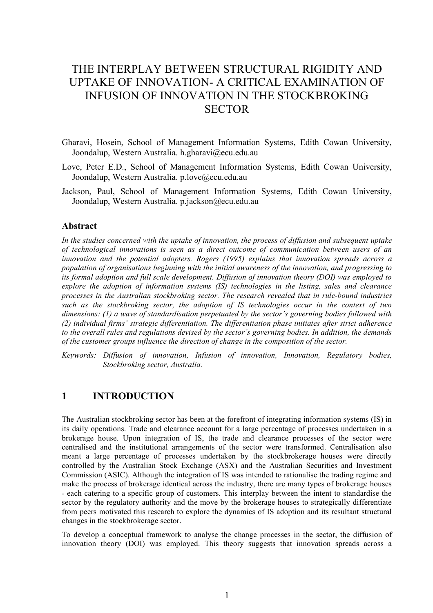## THE INTERPLAY BETWEEN STRUCTURAL RIGIDITY AND UPTAKE OF INNOVATION- A CRITICAL EXAMINATION OF INFUSION OF INNOVATION IN THE STOCKBROKING **SECTOR**

- Gharavi, Hosein, School of Management Information Systems, Edith Cowan University, Joondalup, Western Australia. h.gharavi@ecu.edu.au
- Love, Peter E.D., School of Management Information Systems, Edith Cowan University, Joondalup, Western Australia. p.love@ecu.edu.au
- Jackson, Paul, School of Management Information Systems, Edith Cowan University, Joondalup, Western Australia. p.jackson@ecu.edu.au

#### **Abstract**

*In the studies concerned with the uptake of innovation, the process of diffusion and subsequent uptake of technological innovations is seen as a direct outcome of communication between users of an innovation and the potential adopters. Rogers (1995) explains that innovation spreads across a population of organisations beginning with the initial awareness of the innovation, and progressing to its formal adoption and full scale development. Diffusion of innovation theory (DOI) was employed to explore the adoption of information systems (IS) technologies in the listing, sales and clearance processes in the Australian stockbroking sector. The research revealed that in rule-bound industries such as the stockbroking sector, the adoption of IS technologies occur in the context of two dimensions: (1) a wave of standardisation perpetuated by the sector's governing bodies followed with (2) individual firms' strategic differentiation. The differentiation phase initiates after strict adherence to the overall rules and regulations devised by the sector's governing bodies. In addition, the demands of the customer groups influence the direction of change in the composition of the sector.*

*Keywords: Diffusion of innovation, Infusion of innovation, Innovation, Regulatory bodies, Stockbroking sector, Australia.*

#### **1 INTRODUCTION**

The Australian stockbroking sector has been at the forefront of integrating information systems (IS) in its daily operations. Trade and clearance account for a large percentage of processes undertaken in a brokerage house. Upon integration of IS, the trade and clearance processes of the sector were centralised and the institutional arrangements of the sector were transformed. Centralisation also meant a large percentage of processes undertaken by the stockbrokerage houses were directly controlled by the Australian Stock Exchange (ASX) and the Australian Securities and Investment Commission (ASIC). Although the integration of IS was intended to rationalise the trading regime and make the process of brokerage identical across the industry, there are many types of brokerage houses - each catering to a specific group of customers. This interplay between the intent to standardise the sector by the regulatory authority and the move by the brokerage houses to strategically differentiate from peers motivated this research to explore the dynamics of IS adoption and its resultant structural changes in the stockbrokerage sector.

To develop a conceptual framework to analyse the change processes in the sector, the diffusion of innovation theory (DOI) was employed. This theory suggests that innovation spreads across a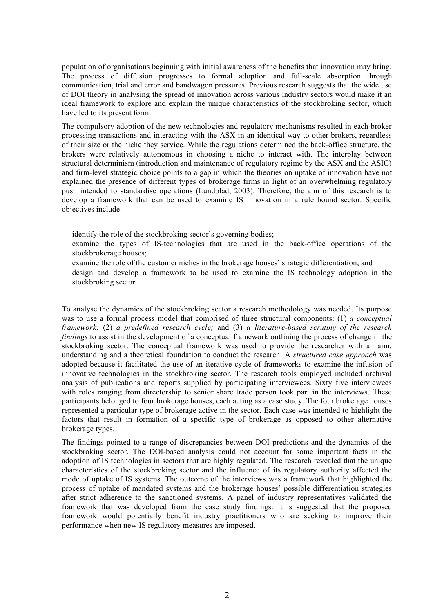population of organisations beginning with initial awareness of the benefits that innovation may bring. The process of diffusion progresses to formal adoption and full-scale absorption through communication, trial and error and bandwagon pressures. Previous research suggests that the wide use of DOI theory in analysing the spread of innovation across various industry sectors would make it an ideal framework to explore and explain the unique characteristics of the stockbroking sector, which have led to its present form.

The compulsory adoption of the new technologies and regulatory mechanisms resulted in each broker processing transactions and interacting with the ASX in an identical way to other brokers, regardless of their size or the niche they service. While the regulations determined the back-office structure, the brokers were relatively autonomous in choosing a niche to interact with. The interplay between structural determinism (introduction and maintenance of regulatory regime by the ASX and the ASIC) and firm-level strategic choice points to a gap in which the theories on uptake of innovation have not explained the presence of different types of brokerage firms in light of an overwhelming regulatory push intended to standardise operations (Lundblad, 2003). Therefore, the aim of this research is to develop a framework that can be used to examine IS innovation in a rule bound sector. Specific objectives include:

identify the role of the stockbroking sector's governing bodies;

 examine the types of IS-technologies that are used in the back-office operations of the stockbrokerage houses;

 examine the role of the customer niches in the brokerage houses' strategic differentiation; and design and develop a framework to be used to examine the IS technology adoption in the stockbroking sector.

To analyse the dynamics of the stockbroking sector a research methodology was needed. Its purpose was to use a formal process model that comprised of three structural components: (1) *a conceptual framework;* (2) *a predefined research cycle;* and (3) *a literature-based scrutiny of the research findings* to assist in the development of a conceptual framework outlining the process of change in the stockbroking sector. The conceptual framework was used to provide the researcher with an aim, understanding and a theoretical foundation to conduct the research. A *structured case approach* was adopted because it facilitated the use of an iterative cycle of frameworks to examine the infusion of innovative technologies in the stockbroking sector. The research tools employed included archival analysis of publications and reports supplied by participating interviewees. Sixty five interviewees with roles ranging from directorship to senior share trade person took part in the interviews. These participants belonged to four brokerage houses, each acting as a case study. The four brokerage houses represented a particular type of brokerage active in the sector. Each case was intended to highlight the factors that result in formation of a specific type of brokerage as opposed to other alternative brokerage types.

The findings pointed to a range of discrepancies between DOI predictions and the dynamics of the stockbroking sector. The DOI-based analysis could not account for some important facts in the adoption of IS technologies in sectors that are highly regulated. The research revealed that the unique characteristics of the stockbroking sector and the influence of its regulatory authority affected the mode of uptake of IS systems. The outcome of the interviews was a framework that highlighted the process of uptake of mandated systems and the brokerage houses' possible differentiation strategies after strict adherence to the sanctioned systems. A panel of industry representatives validated the framework that was developed from the case study findings. It is suggested that the proposed framework would potentially benefit industry practitioners who are seeking to improve their performance when new IS regulatory measures are imposed.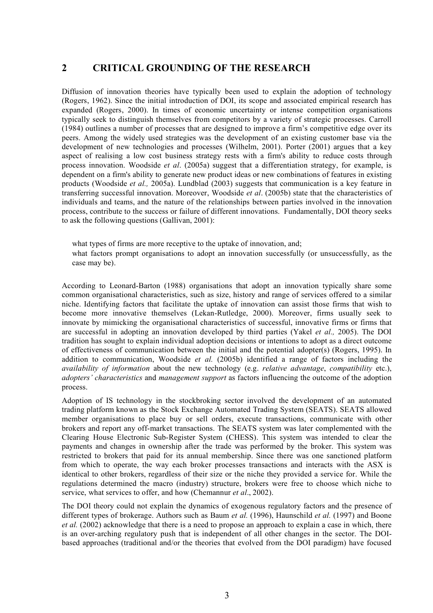## **2 CRITICAL GROUNDING OF THE RESEARCH**

Diffusion of innovation theories have typically been used to explain the adoption of technology (Rogers, 1962). Since the initial introduction of DOI, its scope and associated empirical research has expanded (Rogers, 2000). In times of economic uncertainty or intense competition organisations typically seek to distinguish themselves from competitors by a variety of strategic processes. Carroll (1984) outlines a number of processes that are designed to improve a firm's competitive edge over its peers. Among the widely used strategies was the development of an existing customer base via the development of new technologies and processes (Wilhelm, 2001). Porter (2001) argues that a key aspect of realising a low cost business strategy rests with a firm's ability to reduce costs through process innovation. Woodside *et al*. (2005a) suggest that a differentiation strategy, for example, is dependent on a firm's ability to generate new product ideas or new combinations of features in existing products (Woodside *et al.,* 2005a). Lundblad (2003) suggests that communication is a key feature in transferring successful innovation. Moreover, Woodside *et al*. (2005b) state that the characteristics of individuals and teams, and the nature of the relationships between parties involved in the innovation process, contribute to the success or failure of different innovations. Fundamentally, DOI theory seeks to ask the following questions (Gallivan, 2001):

what types of firms are more receptive to the uptake of innovation, and: what factors prompt organisations to adopt an innovation successfully (or unsuccessfully, as the case may be).

According to Leonard-Barton (1988) organisations that adopt an innovation typically share some common organisational characteristics, such as size, history and range of services offered to a similar niche. Identifying factors that facilitate the uptake of innovation can assist those firms that wish to become more innovative themselves (Lekan-Rutledge, 2000). Moreover, firms usually seek to innovate by mimicking the organisational characteristics of successful, innovative firms or firms that are successful in adopting an innovation developed by third parties (Yakel *et al.,* 2005). The DOI tradition has sought to explain individual adoption decisions or intentions to adopt as a direct outcome of effectiveness of communication between the initial and the potential adopter(s) (Rogers, 1995). In addition to communication, Woodside *et al.* (2005b) identified a range of factors including the *availability of information* about the new technology (e.g. *relative advantage*, *compatibility* etc.), *adopters' characteristics* and *management support* as factors influencing the outcome of the adoption process.

Adoption of IS technology in the stockbroking sector involved the development of an automated trading platform known as the Stock Exchange Automated Trading System (SEATS). SEATS allowed member organisations to place buy or sell orders, execute transactions, communicate with other brokers and report any off-market transactions. The SEATS system was later complemented with the Clearing House Electronic Sub-Register System (CHESS). This system was intended to clear the payments and changes in ownership after the trade was performed by the broker. This system was restricted to brokers that paid for its annual membership. Since there was one sanctioned platform from which to operate, the way each broker processes transactions and interacts with the ASX is identical to other brokers, regardless of their size or the niche they provided a service for. While the regulations determined the macro (industry) structure, brokers were free to choose which niche to service, what services to offer, and how (Chemannur *et al*., 2002).

The DOI theory could not explain the dynamics of exogenous regulatory factors and the presence of different types of brokerage. Authors such as Baum *et al.* (1996), Haunschild *et al.* (1997) and Boone *et al.* (2002) acknowledge that there is a need to propose an approach to explain a case in which, there is an over-arching regulatory push that is independent of all other changes in the sector. The DOIbased approaches (traditional and/or the theories that evolved from the DOI paradigm) have focused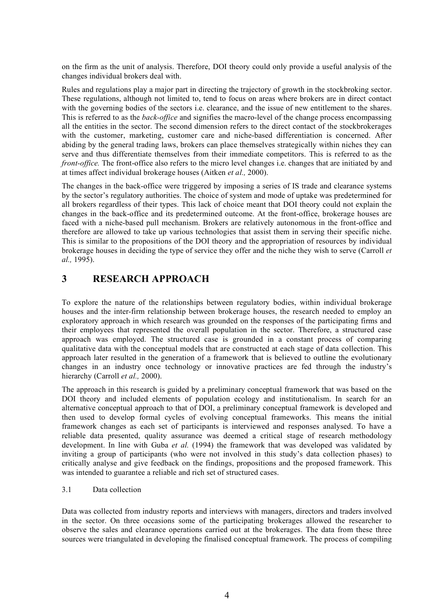on the firm as the unit of analysis. Therefore, DOI theory could only provide a useful analysis of the changes individual brokers deal with.

Rules and regulations play a major part in directing the trajectory of growth in the stockbroking sector. These regulations, although not limited to, tend to focus on areas where brokers are in direct contact with the governing bodies of the sectors i.e. clearance, and the issue of new entitlement to the shares. This is referred to as the *back-office* and signifies the macro-level of the change process encompassing all the entities in the sector. The second dimension refers to the direct contact of the stockbrokerages with the customer, marketing, customer care and niche-based differentiation is concerned. After abiding by the general trading laws, brokers can place themselves strategically within niches they can serve and thus differentiate themselves from their immediate competitors. This is referred to as the *front-office.* The front-office also refers to the micro level changes i.e. changes that are initiated by and at times affect individual brokerage houses (Aitken *et al.,* 2000).

The changes in the back-office were triggered by imposing a series of IS trade and clearance systems by the sector's regulatory authorities. The choice of system and mode of uptake was predetermined for all brokers regardless of their types. This lack of choice meant that DOI theory could not explain the changes in the back-office and its predetermined outcome. At the front-office, brokerage houses are faced with a niche-based pull mechanism. Brokers are relatively autonomous in the front-office and therefore are allowed to take up various technologies that assist them in serving their specific niche. This is similar to the propositions of the DOI theory and the appropriation of resources by individual brokerage houses in deciding the type of service they offer and the niche they wish to serve (Carroll *et al.,* 1995).

## **3 RESEARCH APPROACH**

To explore the nature of the relationships between regulatory bodies, within individual brokerage houses and the inter-firm relationship between brokerage houses, the research needed to employ an exploratory approach in which research was grounded on the responses of the participating firms and their employees that represented the overall population in the sector. Therefore, a structured case approach was employed. The structured case is grounded in a constant process of comparing qualitative data with the conceptual models that are constructed at each stage of data collection. This approach later resulted in the generation of a framework that is believed to outline the evolutionary changes in an industry once technology or innovative practices are fed through the industry's hierarchy (Carroll *et al.,* 2000).

The approach in this research is guided by a preliminary conceptual framework that was based on the DOI theory and included elements of population ecology and institutionalism. In search for an alternative conceptual approach to that of DOI, a preliminary conceptual framework is developed and then used to develop formal cycles of evolving conceptual frameworks. This means the initial framework changes as each set of participants is interviewed and responses analysed. To have a reliable data presented, quality assurance was deemed a critical stage of research methodology development. In line with Guba *et al.* (1994) the framework that was developed was validated by inviting a group of participants (who were not involved in this study's data collection phases) to critically analyse and give feedback on the findings, propositions and the proposed framework. This was intended to guarantee a reliable and rich set of structured cases.

3.1 Data collection

Data was collected from industry reports and interviews with managers, directors and traders involved in the sector. On three occasions some of the participating brokerages allowed the researcher to observe the sales and clearance operations carried out at the brokerages. The data from these three sources were triangulated in developing the finalised conceptual framework. The process of compiling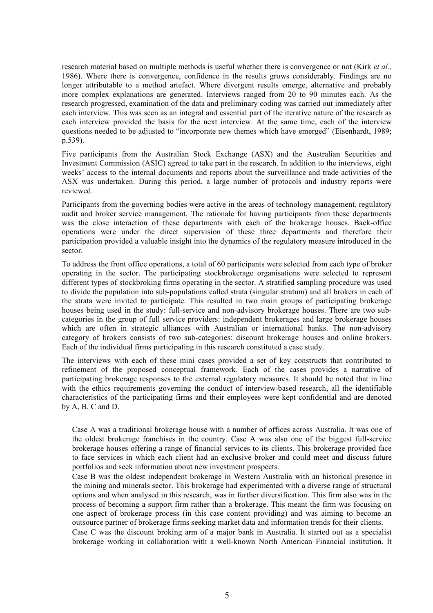research material based on multiple methods is useful whether there is convergence or not (Kirk *et al.,* 1986). Where there is convergence, confidence in the results grows considerably. Findings are no longer attributable to a method artefact. Where divergent results emerge, alternative and probably more complex explanations are generated. Interviews ranged from 20 to 90 minutes each. As the research progressed, examination of the data and preliminary coding was carried out immediately after each interview. This was seen as an integral and essential part of the iterative nature of the research as each interview provided the basis for the next interview. At the same time, each of the interview questions needed to be adjusted to "incorporate new themes which have emerged" (Eisenhardt, 1989; p.539).

Five participants from the Australian Stock Exchange (ASX) and the Australian Securities and Investment Commission (ASIC) agreed to take part in the research. In addition to the interviews, eight weeks' access to the internal documents and reports about the surveillance and trade activities of the ASX was undertaken. During this period, a large number of protocols and industry reports were reviewed.

Participants from the governing bodies were active in the areas of technology management, regulatory audit and broker service management. The rationale for having participants from these departments was the close interaction of these departments with each of the brokerage houses. Back-office operations were under the direct supervision of these three departments and therefore their participation provided a valuable insight into the dynamics of the regulatory measure introduced in the sector.

To address the front office operations, a total of 60 participants were selected from each type of broker operating in the sector. The participating stockbrokerage organisations were selected to represent different types of stockbroking firms operating in the sector. A stratified sampling procedure was used to divide the population into sub-populations called strata (singular stratum) and all brokers in each of the strata were invited to participate. This resulted in two main groups of participating brokerage houses being used in the study: full-service and non-advisory brokerage houses. There are two subcategories in the group of full service providers: independent brokerages and large brokerage houses which are often in strategic alliances with Australian or international banks. The non-advisory category of brokers consists of two sub-categories: discount brokerage houses and online brokers. Each of the individual firms participating in this research constituted a case study.

The interviews with each of these mini cases provided a set of key constructs that contributed to refinement of the proposed conceptual framework. Each of the cases provides a narrative of participating brokerage responses to the external regulatory measures. It should be noted that in line with the ethics requirements governing the conduct of interview-based research, all the identifiable characteristics of the participating firms and their employees were kept confidential and are denoted by A, B, C and D.

 Case A was a traditional brokerage house with a number of offices across Australia. It was one of the oldest brokerage franchises in the country. Case A was also one of the biggest full-service brokerage houses offering a range of financial services to its clients. This brokerage provided face to face services in which each client had an exclusive broker and could meet and discuss future portfolios and seek information about new investment prospects.

 Case B was the oldest independent brokerage in Western Australia with an historical presence in the mining and minerals sector. This brokerage had experimented with a diverse range of structural options and when analysed in this research, was in further diversification. This firm also was in the process of becoming a support firm rather than a brokerage. This meant the firm was focusing on one aspect of brokerage process (in this case content providing) and was aiming to become an outsource partner of brokerage firms seeking market data and information trends for their clients.

 Case C was the discount broking arm of a major bank in Australia. It started out as a specialist brokerage working in collaboration with a well-known North American Financial institution. It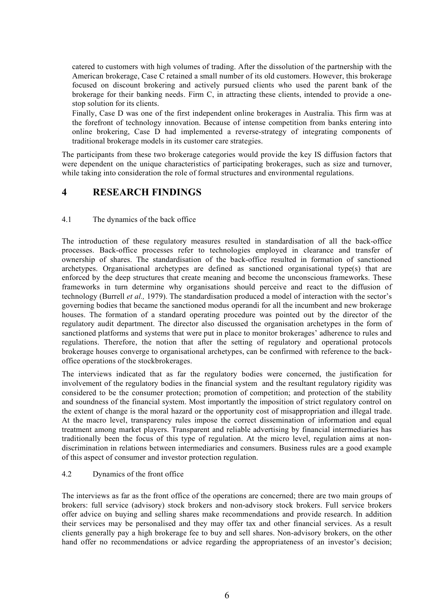catered to customers with high volumes of trading. After the dissolution of the partnership with the American brokerage, Case C retained a small number of its old customers. However, this brokerage focused on discount brokering and actively pursued clients who used the parent bank of the brokerage for their banking needs. Firm C, in attracting these clients, intended to provide a onestop solution for its clients.

 Finally, Case D was one of the first independent online brokerages in Australia. This firm was at the forefront of technology innovation. Because of intense competition from banks entering into online brokering, Case D had implemented a reverse-strategy of integrating components of traditional brokerage models in its customer care strategies.

The participants from these two brokerage categories would provide the key IS diffusion factors that were dependent on the unique characteristics of participating brokerages, such as size and turnover, while taking into consideration the role of formal structures and environmental regulations.

#### **4 RESEARCH FINDINGS**

#### 4.1 The dynamics of the back office

The introduction of these regulatory measures resulted in standardisation of all the back-office processes. Back-office processes refer to technologies employed in clearance and transfer of ownership of shares. The standardisation of the back-office resulted in formation of sanctioned archetypes. Organisational archetypes are defined as sanctioned organisational type(s) that are enforced by the deep structures that create meaning and become the unconscious frameworks. These frameworks in turn determine why organisations should perceive and react to the diffusion of technology (Burrell *et al.,* 1979). The standardisation produced a model of interaction with the sector's governing bodies that became the sanctioned modus operandi for all the incumbent and new brokerage houses. The formation of a standard operating procedure was pointed out by the director of the regulatory audit department. The director also discussed the organisation archetypes in the form of sanctioned platforms and systems that were put in place to monitor brokerages' adherence to rules and regulations. Therefore, the notion that after the setting of regulatory and operational protocols brokerage houses converge to organisational archetypes, can be confirmed with reference to the backoffice operations of the stockbrokerages.

The interviews indicated that as far the regulatory bodies were concerned, the justification for involvement of the regulatory bodies in the financial system and the resultant regulatory rigidity was considered to be the consumer protection; promotion of competition; and protection of the stability and soundness of the financial system. Most importantly the imposition of strict regulatory control on the extent of change is the moral hazard or the opportunity cost of misappropriation and illegal trade. At the macro level, transparency rules impose the correct dissemination of information and equal treatment among market players. Transparent and reliable advertising by financial intermediaries has traditionally been the focus of this type of regulation. At the micro level, regulation aims at nondiscrimination in relations between intermediaries and consumers. Business rules are a good example of this aspect of consumer and investor protection regulation.

#### 4.2 Dynamics of the front office

The interviews as far as the front office of the operations are concerned; there are two main groups of brokers: full service (advisory) stock brokers and non-advisory stock brokers. Full service brokers offer advice on buying and selling shares make recommendations and provide research. In addition their services may be personalised and they may offer tax and other financial services. As a result clients generally pay a high brokerage fee to buy and sell shares. Non-advisory brokers, on the other hand offer no recommendations or advice regarding the appropriateness of an investor's decision;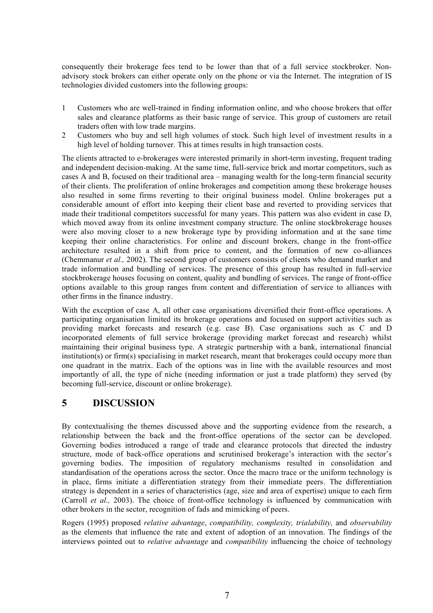consequently their brokerage fees tend to be lower than that of a full service stockbroker. Nonadvisory stock brokers can either operate only on the phone or via the Internet. The integration of IS technologies divided customers into the following groups:

- 1 Customers who are well-trained in finding information online, and who choose brokers that offer sales and clearance platforms as their basic range of service. This group of customers are retail traders often with low trade margins.
- 2 Customers who buy and sell high volumes of stock. Such high level of investment results in a high level of holding turnover. This at times results in high transaction costs.

The clients attracted to e-brokerages were interested primarily in short-term investing, frequent trading and independent decision-making. At the same time, full-service brick and mortar competitors, such as cases A and B, focused on their traditional area – managing wealth for the long-term financial security of their clients. The proliferation of online brokerages and competition among these brokerage houses also resulted in some firms reverting to their original business model. Online brokerages put a considerable amount of effort into keeping their client base and reverted to providing services that made their traditional competitors successful for many years. This pattern was also evident in case D, which moved away from its online investment company structure. The online stockbrokerage houses were also moving closer to a new brokerage type by providing information and at the sane time keeping their online characteristics. For online and discount brokers, change in the front-office architecture resulted in a shift from price to content, and the formation of new co-alliances (Chemmanur *et al.,* 2002). The second group of customers consists of clients who demand market and trade information and bundling of services. The presence of this group has resulted in full-service stockbrokerage houses focusing on content, quality and bundling of services. The range of front-office options available to this group ranges from content and differentiation of service to alliances with other firms in the finance industry.

With the exception of case A, all other case organisations diversified their front-office operations. A participating organisation limited its brokerage operations and focused on support activities such as providing market forecasts and research (e.g. case B). Case organisations such as C and D incorporated elements of full service brokerage (providing market forecast and research) whilst maintaining their original business type. A strategic partnership with a bank, international financial institution(s) or firm(s) specialising in market research, meant that brokerages could occupy more than one quadrant in the matrix. Each of the options was in line with the available resources and most importantly of all, the type of niche (needing information or just a trade platform) they served (by becoming full-service, discount or online brokerage).

## **5 DISCUSSION**

By contextualising the themes discussed above and the supporting evidence from the research, a relationship between the back and the front-office operations of the sector can be developed. Governing bodies introduced a range of trade and clearance protocols that directed the industry structure, mode of back-office operations and scrutinised brokerage's interaction with the sector's governing bodies. The imposition of regulatory mechanisms resulted in consolidation and standardisation of the operations across the sector. Once the macro trace or the uniform technology is in place, firms initiate a differentiation strategy from their immediate peers. The differentiation strategy is dependent in a series of characteristics (age, size and area of expertise) unique to each firm (Carroll *et al.,* 2003). The choice of front-office technology is influenced by communication with other brokers in the sector, recognition of fads and mimicking of peers.

Rogers (1995) proposed *relative advantage*, *compatibility, complexity, trialability,* and *observability* as the elements that influence the rate and extent of adoption of an innovation. The findings of the interviews pointed out to *relative advantage* and *compatibility* influencing the choice of technology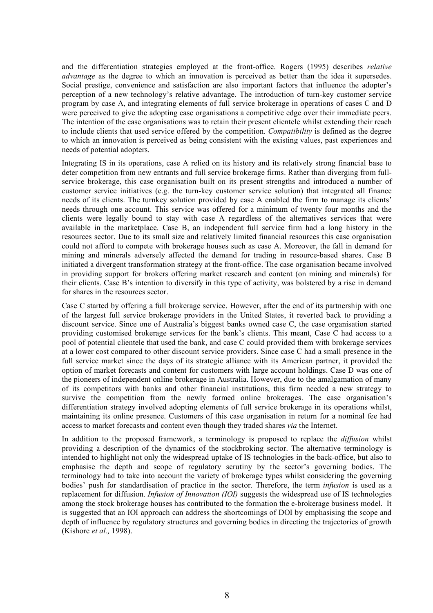and the differentiation strategies employed at the front-office. Rogers (1995) describes *relative advantage* as the degree to which an innovation is perceived as better than the idea it supersedes. Social prestige, convenience and satisfaction are also important factors that influence the adopter's perception of a new technology's relative advantage. The introduction of turn-key customer service program by case A, and integrating elements of full service brokerage in operations of cases C and D were perceived to give the adopting case organisations a competitive edge over their immediate peers. The intention of the case organisations was to retain their present clientele whilst extending their reach to include clients that used service offered by the competition. *Compatibility* is defined as the degree to which an innovation is perceived as being consistent with the existing values, past experiences and needs of potential adopters.

Integrating IS in its operations, case A relied on its history and its relatively strong financial base to deter competition from new entrants and full service brokerage firms. Rather than diverging from fullservice brokerage, this case organisation built on its present strengths and introduced a number of customer service initiatives (e.g. the turn-key customer service solution) that integrated all finance needs of its clients. The turnkey solution provided by case A enabled the firm to manage its clients' needs through one account. This service was offered for a minimum of twenty four months and the clients were legally bound to stay with case A regardless of the alternatives services that were available in the marketplace. Case B, an independent full service firm had a long history in the resources sector. Due to its small size and relatively limited financial resources this case organisation could not afford to compete with brokerage houses such as case A. Moreover, the fall in demand for mining and minerals adversely affected the demand for trading in resource-based shares. Case B initiated a divergent transformation strategy at the front-office. The case organisation became involved in providing support for brokers offering market research and content (on mining and minerals) for their clients. Case B's intention to diversify in this type of activity, was bolstered by a rise in demand for shares in the resources sector.

Case C started by offering a full brokerage service. However, after the end of its partnership with one of the largest full service brokerage providers in the United States, it reverted back to providing a discount service. Since one of Australia's biggest banks owned case C, the case organisation started providing customised brokerage services for the bank's clients. This meant, Case C had access to a pool of potential clientele that used the bank, and case C could provided them with brokerage services at a lower cost compared to other discount service providers. Since case C had a small presence in the full service market since the days of its strategic alliance with its American partner, it provided the option of market forecasts and content for customers with large account holdings. Case D was one of the pioneers of independent online brokerage in Australia. However, due to the amalgamation of many of its competitors with banks and other financial institutions, this firm needed a new strategy to survive the competition from the newly formed online brokerages. The case organisation's differentiation strategy involved adopting elements of full service brokerage in its operations whilst, maintaining its online presence. Customers of this case organisation in return for a nominal fee had access to market forecasts and content even though they traded shares *via* the Internet.

In addition to the proposed framework, a terminology is proposed to replace the *diffusion* whilst providing a description of the dynamics of the stockbroking sector. The alternative terminology is intended to highlight not only the widespread uptake of IS technologies in the back-office, but also to emphasise the depth and scope of regulatory scrutiny by the sector's governing bodies. The terminology had to take into account the variety of brokerage types whilst considering the governing bodies' push for standardisation of practice in the sector. Therefore, the term *infusion* is used as a replacement for diffusion. *Infusion of Innovation (IOI)* suggests the widespread use of IS technologies among the stock brokerage houses has contributed to the formation the e-brokerage business model. It is suggested that an IOI approach can address the shortcomings of DOI by emphasising the scope and depth of influence by regulatory structures and governing bodies in directing the trajectories of growth (Kishore *et al.,* 1998).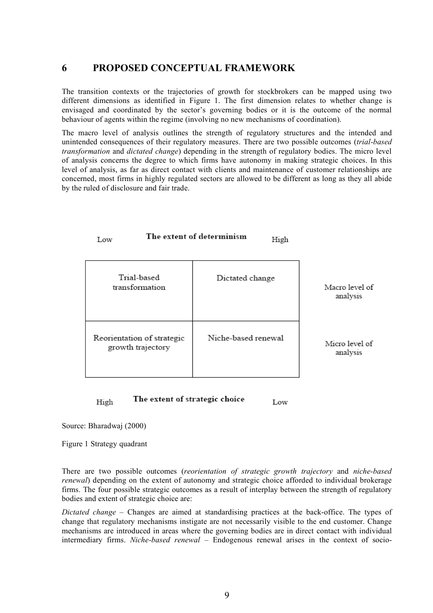#### **6 PROPOSED CONCEPTUAL FRAMEWORK**

The transition contexts or the trajectories of growth for stockbrokers can be mapped using two different dimensions as identified in Figure 1. The first dimension relates to whether change is envisaged and coordinated by the sector's governing bodies or it is the outcome of the normal behaviour of agents within the regime (involving no new mechanisms of coordination).

The macro level of analysis outlines the strength of regulatory structures and the intended and unintended consequences of their regulatory measures. There are two possible outcomes (*trial-based transformation* and *dictated change*) depending in the strength of regulatory bodies. The micro level of analysis concerns the degree to which firms have autonomy in making strategic choices. In this level of analysis, as far as direct contact with clients and maintenance of customer relationships are concerned, most firms in highly regulated sectors are allowed to be different as long as they all abide by the ruled of disclosure and fair trade.

 $U_{\text{tot}}$ 

| ⊥ບw                                             | 111gu               |                            |
|-------------------------------------------------|---------------------|----------------------------|
| Trial-based<br>transformation                   | Dictated change     | Macro level of<br>analysis |
| Reorientation of strategic<br>growth trajectory | Niche-based renewal | Micro level of<br>analysis |

The extent of strategic choice High Low

The extent of determinism

Source: Bharadwaj (2000)

 $T = 1$ 

Figure 1 Strategy quadrant

There are two possible outcomes (*reorientation of strategic growth trajectory* and *niche-based renewal*) depending on the extent of autonomy and strategic choice afforded to individual brokerage firms. The four possible strategic outcomes as a result of interplay between the strength of regulatory bodies and extent of strategic choice are:

*Dictated change* – Changes are aimed at standardising practices at the back-office. The types of change that regulatory mechanisms instigate are not necessarily visible to the end customer. Change mechanisms are introduced in areas where the governing bodies are in direct contact with individual intermediary firms. *Niche-based renewal* – Endogenous renewal arises in the context of socio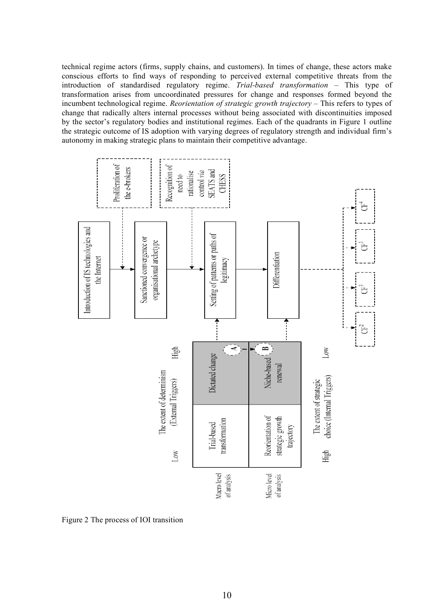technical regime actors (firms, supply chains, and customers). In times of change, these actors make conscious efforts to find ways of responding to perceived external competitive threats from the introduction of standardised regulatory regime. *Trial-based transformation* – This type of transformation arises from uncoordinated pressures for change and responses formed beyond the incumbent technological regime. *Reorientation of strategic growth trajectory* – This refers to types of change that radically alters internal processes without being associated with discontinuities imposed by the sector's regulatory bodies and institutional regimes. Each of the quadrants in Figure 1 outline the strategic outcome of IS adoption with varying degrees of regulatory strength and individual firm's autonomy in making strategic plans to maintain their competitive advantage.



Figure 2 The process of IOI transition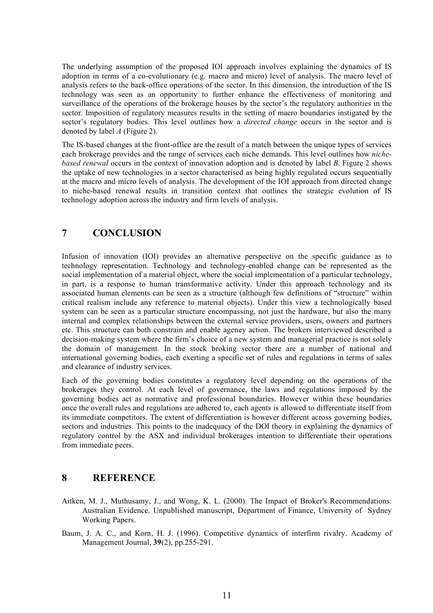The underlying assumption of the proposed IOI approach involves explaining the dynamics of IS adoption in terms of a co-evolutionary (e.g. macro and micro) level of analysis. The macro level of analysis refers to the back-office operations of the sector. In this dimension, the introduction of the IS technology was seen as an opportunity to further enhance the effectiveness of monitoring and surveillance of the operations of the brokerage houses by the sector's the regulatory authorities in the sector. Imposition of regulatory measures results in the setting of macro boundaries instigated by the sector's regulatory bodies. This level outlines how a *directed change* occurs in the sector and is denoted by label *A* (Figure 2).

The IS-based changes at the front-office are the result of a match between the unique types of services each brokerage provides and the range of services each niche demands. This level outlines how *nichebased renewal* occurs in the context of innovation adoption and is denoted by label *B*. Figure 2 shows the uptake of new technologies in a sector characterised as being highly regulated occurs sequentially at the macro and micro levels of analysis. The development of the IOI approach from directed change to niche-based renewal results in transition context that outlines the strategic evolution of IS technology adoption across the industry and firm levels of analysis.

#### **7 CONCLUSION**

Infusion of innovation (IOI) provides an alternative perspective on the specific guidance as to technology representation. Technology and technology-enabled change can be represented as the social implementation of a material object, where the social implementation of a particular technology, in part, is a response to human transformative activity. Under this approach technology and its associated human elements can be seen as a structure (although few definitions of "structure" within critical realism include any reference to material objects). Under this view a technologically based system can be seen as a particular structure encompassing, not just the hardware, but also the many internal and complex relationships between the external service providers, users, owners and partners etc. This structure can both constrain and enable agency action. The brokers interviewed described a decision-making system where the firm's choice of a new system and managerial practice is not solely the domain of management. In the stock broking sector there are a number of national and international governing bodies, each exerting a specific set of rules and regulations in terms of sales and clearance of industry services.

Each of the governing bodies constitutes a regulatory level depending on the operations of the brokerages they control. At each level of governance, the laws and regulations imposed by the governing bodies act as normative and professional boundaries. However within these boundaries once the overall rules and regulations are adhered to, each agents is allowed to differentiate itself from its immediate competitors. The extent of differentiation is however different across governing bodies, sectors and industries. This points to the inadequacy of the DOI theory in explaining the dynamics of regulatory control by the ASX and individual brokerages intention to differentiate their operations from immediate peers.

#### **8 REFERENCE**

- Aitken, M. J., Muthusamy, J., and Wong, K. L. (2000). The Impact of Broker's Recommendations: Australian Evidence. Unpublished manuscript, Department of Finance, University of Sydney Working Papers.
- Baum, J. A. C., and Korn, H. J. (1996). Competitive dynamics of interfirm rivalry. Academy of Management Journal, **39**(2), pp.255-291.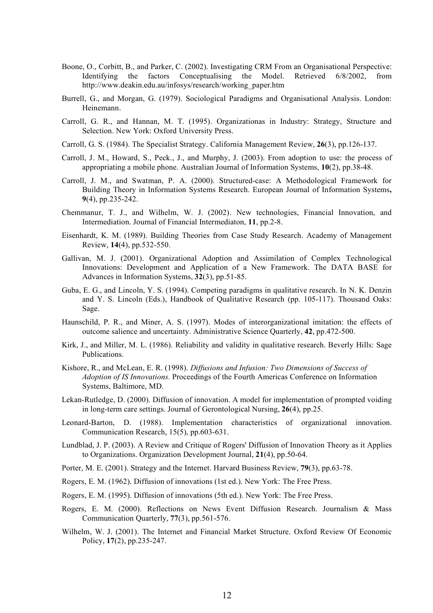- Boone, O., Corbitt, B., and Parker, C. (2002). Investigating CRM From an Organisational Perspective: Identifying the factors Conceptualising the Model. Retrieved 6/8/2002, from http://www.deakin.edu.au/infosys/research/working\_paper.htm
- Burrell, G., and Morgan, G. (1979). Sociological Paradigms and Organisational Analysis. London: Heinemann.
- Carroll, G. R., and Hannan, M. T. (1995). Organizationas in Industry: Strategy, Structure and Selection. New York: Oxford University Press.
- Carroll, G. S. (1984). The Specialist Strategy. California Management Review, **26**(3), pp.126-137.
- Carroll, J. M., Howard, S., Peck., J., and Murphy, J. (2003). From adoption to use: the process of appropriating a mobile phone. Australian Journal of Information Systems, **10**(2), pp.38-48.
- Carroll, J. M., and Swatman, P. A. (2000). Structured-case: A Methodological Framework for Building Theory in Information Systems Research. European Journal of Information Systems**, 9**(4), pp.235-242.
- Chemmanur, T. J., and Wilhelm, W. J. (2002). New technologies, Financial Innovation, and Intermediation. Journal of Financial Intermediaton, **11**, pp.2-8.
- Eisenhardt, K. M. (1989). Building Theories from Case Study Research. Academy of Management Review, **14**(4), pp.532-550.
- Gallivan, M. J. (2001). Organizational Adoption and Assimilation of Complex Technological Innovations: Development and Application of a New Framework. The DATA BASE for Advances in Information Systems, **32**(3), pp.51-85.
- Guba, E. G., and Lincoln, Y. S. (1994). Competing paradigms in qualitative research. In N. K. Denzin and Y. S. Lincoln (Eds.), Handbook of Qualitative Research (pp. 105-117). Thousand Oaks: Sage.
- Haunschild, P. R., and Miner, A. S. (1997). Modes of interorganizational imitation: the effects of outcome salience and uncertainty. Administrative Science Quarterly, **42**, pp.472-500.
- Kirk, J., and Miller, M. L. (1986). Reliability and validity in qualitative research. Beverly Hills: Sage Publications.
- Kishore, R., and McLean, E. R. (1998). *Diffusions and Infusion: Two Dimensions of Success of Adoption of IS Innovations.* Proceedings of the Fourth Americas Conference on Information Systems, Baltimore, MD.
- Lekan-Rutledge, D. (2000). Diffusion of innovation. A model for implementation of prompted voiding in long-term care settings. Journal of Gerontological Nursing, **26**(4), pp.25.
- Leonard-Barton, D. (1988). Implementation characteristics of organizational innovation. Communication Research, 15(5), pp.603-631.
- Lundblad, J. P. (2003). A Review and Critique of Rogers' Diffusion of Innovation Theory as it Applies to Organizations. Organization Development Journal, **21**(4), pp.50-64.
- Porter, M. E. (2001). Strategy and the Internet. Harvard Business Review, **79**(3), pp.63-78.
- Rogers, E. M. (1962). Diffusion of innovations (1st ed.). New York: The Free Press.
- Rogers, E. M. (1995). Diffusion of innovations (5th ed.). New York: The Free Press.
- Rogers, E. M. (2000). Reflections on News Event Diffusion Research. Journalism & Mass Communication Quarterly, **77**(3), pp.561-576.
- Wilhelm, W. J. (2001). The Internet and Financial Market Structure. Oxford Review Of Economic Policy, **17**(2), pp.235-247.